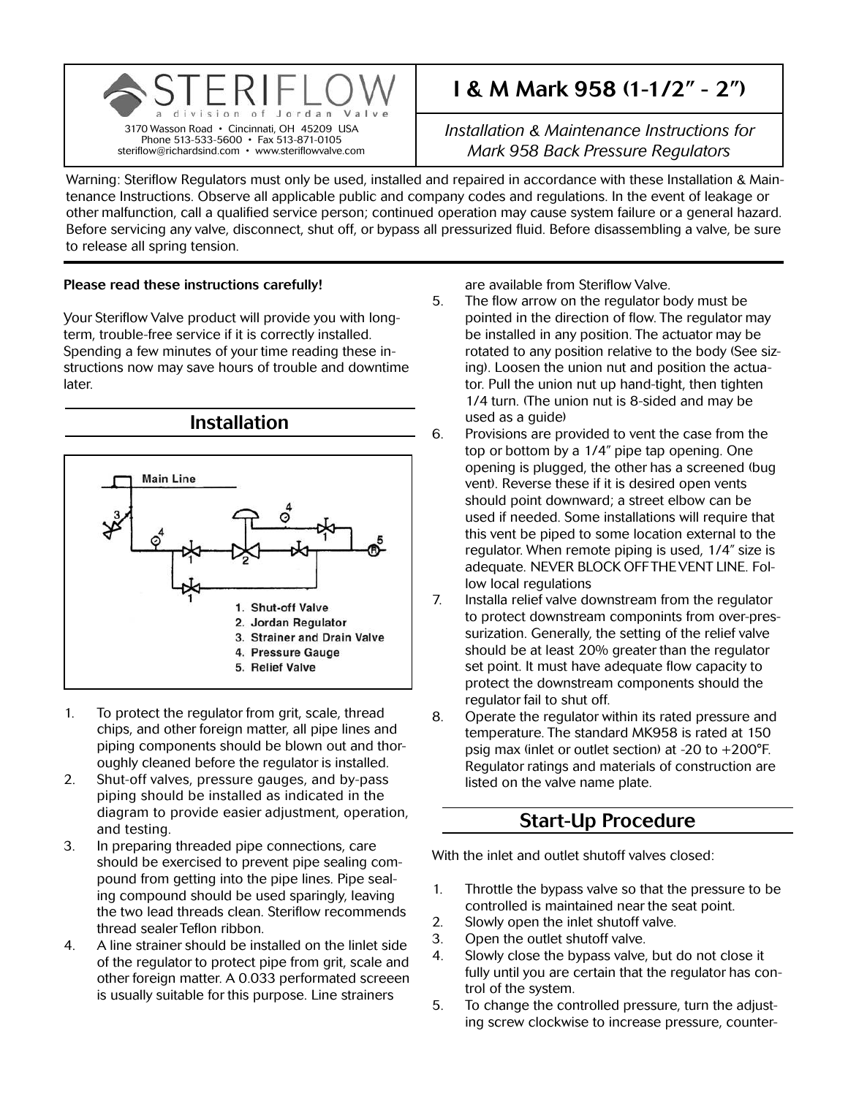

# I & M Mark 958 (1-1/2" - 2")

*Installation & Maintenance Instructions for Mark 958 Back Pressure Regulators*

Warning: Steriflow Regulators must only be used, installed and repaired in accordance with these Installation & Maintenance Instructions. Observe all applicable public and company codes and regulations. In the event of leakage or other malfunction, call a qualified service person; continued operation may cause system failure or a general hazard. Before servicing any valve, disconnect, shut off, or bypass all pressurized fluid. Before disassembling a valve, be sure to release all spring tension.

#### Please read these instructions carefully!

Your Steriflow Valve product will provide you with longterm, trouble-free service if it is correctly installed. Spending a few minutes of your time reading these instructions now may save hours of trouble and downtime later.



- 1. To protect the regulator from grit, scale, thread chips, and other foreign matter, all pipe lines and piping components should be blown out and thoroughly cleaned before the regulator is installed.
- 2. Shut-off valves, pressure gauges, and by-pass piping should be installed as indicated in the diagram to provide easier adjustment, operation, and testing.
- 3. In preparing threaded pipe connections, care should be exercised to prevent pipe sealing compound from getting into the pipe lines. Pipe sealing compound should be used sparingly, leaving the two lead threads clean. Steriflow recommends thread sealer Teflon ribbon.
- 4. A line strainer should be installed on the linlet side of the regulator to protect pipe from grit, scale and other foreign matter. A 0.033 performated screeen is usually suitable for this purpose. Line strainers

are available from Steriflow Valve.

- 5. The flow arrow on the regulator body must be pointed in the direction of flow. The regulator may be installed in any position. The actuator may be rotated to any position relative to the body (See sizing). Loosen the union nut and position the actuator. Pull the union nut up hand-tight, then tighten 1/4 turn. (The union nut is 8-sided and may be used as a guide)
- 6. Provisions are provided to vent the case from the top or bottom by a 1/4" pipe tap opening. One opening is plugged, the other has a screened (bug vent). Reverse these if it is desired open vents should point downward; a street elbow can be used if needed. Some installations will require that this vent be piped to some location external to the regulator. When remote piping is used, 1/4" size is adequate. NEVER BLOCK OFF THE VENT LINE. Follow local regulations
- 7. Installa relief valve downstream from the regulator to protect downstream componints from over-pressurization. Generally, the setting of the relief valve should be at least 20% greater than the regulator set point. It must have adequate flow capacity to protect the downstream components should the regulator fail to shut off.
- 8. Operate the regulator within its rated pressure and temperature. The standard MK958 is rated at 150 psig max (inlet or outlet section) at -20 to +200°F. Regulator ratings and materials of construction are listed on the valve name plate.

### Start-Up Procedure

With the inlet and outlet shutoff valves closed:

- 1. Throttle the bypass valve so that the pressure to be controlled is maintained near the seat point.
- 2. Slowly open the inlet shutoff valve.
- 3. Open the outlet shutoff valve.
- 4. Slowly close the bypass valve, but do not close it fully until you are certain that the regulator has control of the system.
- 5. To change the controlled pressure, turn the adjusting screw clockwise to increase pressure, counter-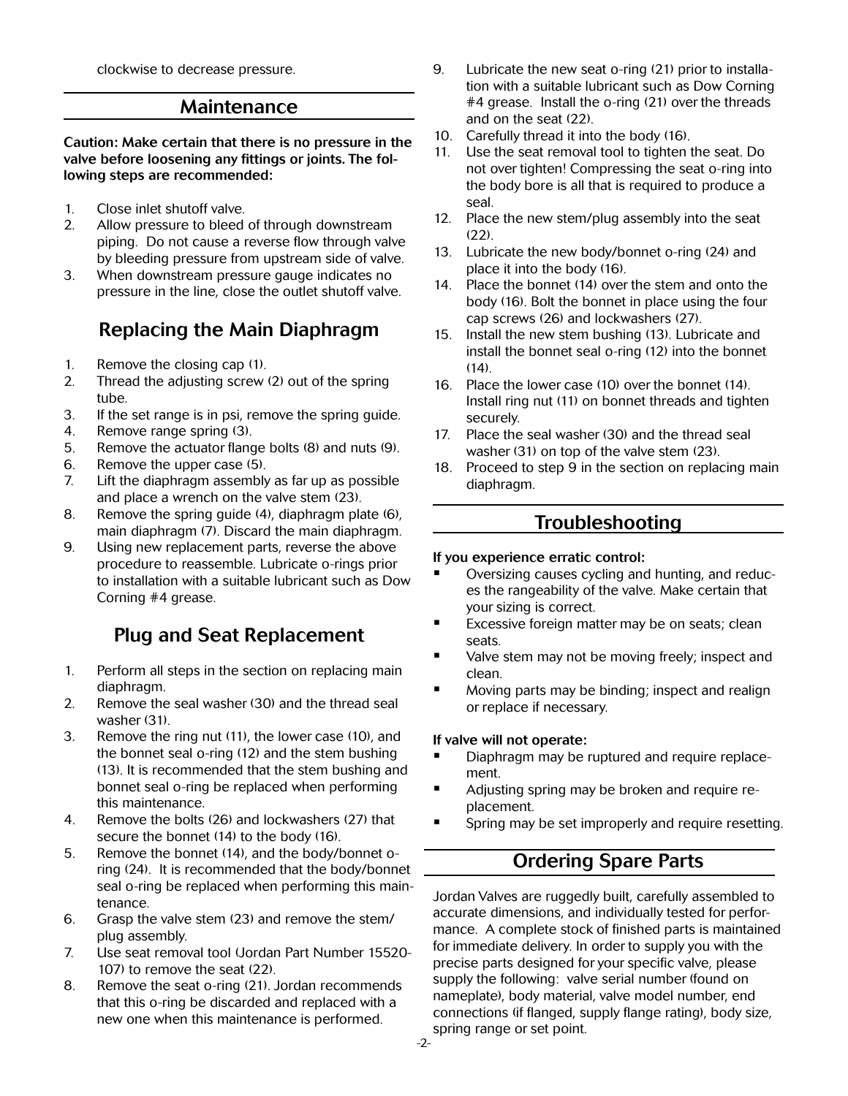clockwise to decrease pressure.

#### Maintenance

Caution: Make certain that there is no pressure in the valve before loosening any fittings or joints. The following steps are recommended:

- 1. Close inlet shutoff valve.
- 2. Allow pressure to bleed of through downstream piping. Do not cause a reverse flow through valve by bleeding pressure from upstream side of valve.
- 3. When downstream pressure gauge indicates no pressure in the line, close the outlet shutoff valve.

# Replacing the Main Diaphragm

- 1. Remove the closing cap (1).
- 2. Thread the adjusting screw (2) out of the spring tube.
- 3. If the set range is in psi, remove the spring guide.
- 4. Remove range spring (3).
- 5. Remove the actuator flange bolts (8) and nuts (9).
- 6. Remove the upper case (5).
- 7. Lift the diaphragm assembly as far up as possible and place a wrench on the valve stem (23).
- 8. Remove the spring guide (4), diaphragm plate (6), main diaphragm (7). Discard the main diaphragm.
- 9. Using new replacement parts, reverse the above procedure to reassemble. Lubricate o-rings prior to installation with a suitable lubricant such as Dow Corning #4 grease.

# Plug and Seat Replacement

- 1. Perform all steps in the section on replacing main diaphragm.
- 2. Remove the seal washer (30) and the thread seal washer (31).
- 3. Remove the ring nut (11), the lower case (10), and the bonnet seal o-ring (12) and the stem bushing (13). It is recommended that the stem bushing and bonnet seal o-ring be replaced when performing this maintenance.
- 4. Remove the bolts (26) and lockwashers (27) that secure the bonnet (14) to the body (16).
- 5. Remove the bonnet (14), and the body/bonnet oring (24). It is recommended that the body/bonnet seal o-ring be replaced when performing this maintenance.
- 6. Grasp the valve stem (23) and remove the stem/ plug assembly.
- 7. Use seat removal tool (Jordan Part Number 15520- 107) to remove the seat (22).
- 8. Remove the seat o-ring (21). Jordan recommends that this o-ring be discarded and replaced with a new one when this maintenance is performed.
- 9. Lubricate the new seat o-ring (21) prior to installation with a suitable lubricant such as Dow Corning #4 grease. Install the o-ring (21) over the threads and on the seat (22).
- 10. Carefully thread it into the body (16).
- 11. Use the seat removal tool to tighten the seat. Do not over tighten! Compressing the seat o-ring into the body bore is all that is required to produce a seal.
- 12. Place the new stem/plug assembly into the seat  $(22)$
- 13. Lubricate the new body/bonnet o-ring (24) and place it into the body (16).
- 14. Place the bonnet (14) over the stem and onto the body (16). Bolt the bonnet in place using the four cap screws (26) and lockwashers (27).
- 15. Install the new stem bushing (13). Lubricate and install the bonnet seal o-ring (12) into the bonnet  $(14)$ .
- 16. Place the lower case (10) over the bonnet (14). Install ring nut (11) on bonnet threads and tighten securely.
- 17. Place the seal washer (30) and the thread seal washer (31) on top of the valve stem (23).
- 18. Proceed to step 9 in the section on replacing main diaphragm.

### Troubleshooting

#### If you experience erratic control:

- Oversizing causes cycling and hunting, and reduces the rangeability of the valve. Make certain that your sizing is correct.
- **Excessive foreign matter may be on seats; clean** seats.
- Valve stem may not be moving freely; inspect and clean.
- **Moving parts may be binding; inspect and realign** or replace if necessary.

#### If valve will not operate:

- Diaphragm may be ruptured and require replacement.
- **Adjusting spring may be broken and require re**placement.
- Spring may be set improperly and require resetting.

# Ordering Spare Parts

Jordan Valves are ruggedly built, carefully assembled to accurate dimensions, and individually tested for performance. A complete stock of finished parts is maintained for immediate delivery. In order to supply you with the precise parts designed for your specific valve, please supply the following: valve serial number (found on nameplate), body material, valve model number, end connections (if flanged, supply flange rating), body size, spring range or set point.